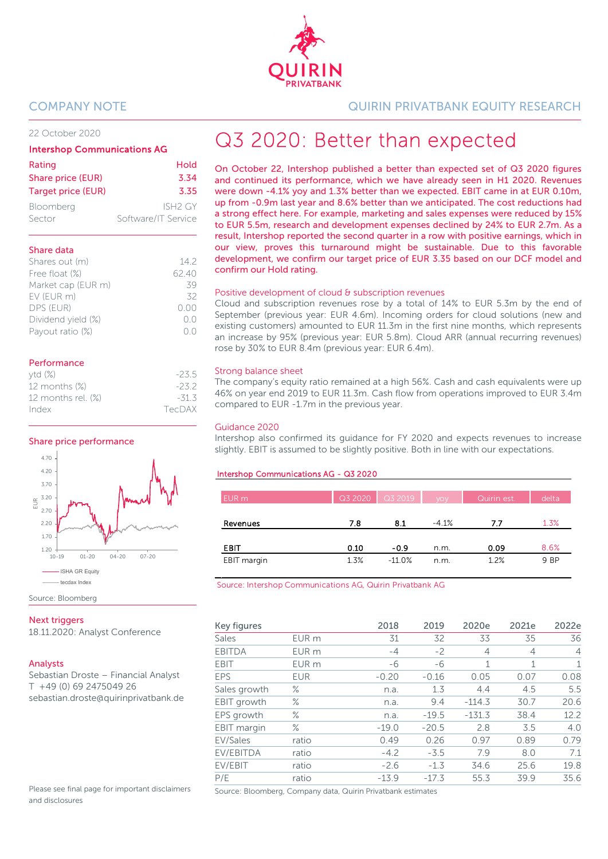

# 22 October 2020

# Intershop Communications AG

| Rating                    | Hold                |
|---------------------------|---------------------|
| Share price (EUR)         | 3.34                |
| <b>Target price (EUR)</b> | 3.35                |
| Bloomberg                 | ISH <sub>2</sub> GY |
| Sector                    | Software/IT Service |

# Share data

| Shares out (m)     | 142          |
|--------------------|--------------|
| Free float (%)     | 62.40        |
| Market cap (EUR m) | 39           |
| EV (EUR m)         | 32           |
| DPS (EUR)          | 0.00         |
| Dividend yield (%) | $( )_{1}( )$ |
| Payout ratio (%)   |              |
|                    |              |

# **Performance**

| ytd(%)             | $-23.5$ |
|--------------------|---------|
| 12 months (%)      | $-232$  |
| 12 months rel. (%) | $-31.3$ |
| Index              | TecDAX  |

# Share price performance



Source: Bloomberg

# **Next triggers**

18.11.2020: Analyst Conference

# Analysts

Sebastian Droste – Financial Analyst T +49 (0) 69 2475049 26 sebastian.droste@quirinprivatbank.de

Please see final page for important disclaimers and disclosures

COMPANY NOTE QUIRIN PRIVATBANK EQUITY RESEARCH

# Q3 2020: Better than expected

On October 22, Intershop published a better than expected set of Q3 2020 figures and continued its performance, which we have already seen in H1 2020. Revenues were down -4.1% yoy and 1.3% better than we expected. EBIT came in at EUR 0.10m, up from -0.9m last year and 8.6% better than we anticipated. The cost reductions had a strong effect here. For example, marketing and sales expenses were reduced by 15% to EUR 5.5m, research and development expenses declined by 24% to EUR 2.7m. As a result, Intershop reported the second quarter in a row with positive earnings, which in our view, proves this turnaround might be sustainable. Due to this favorable development, we confirm our target price of EUR 3.35 based on our DCF model and confirm our Hold rating.

# Positive development of cloud & subscription revenues

Cloud and subscription revenues rose by a total of 14% to EUR 5.3m by the end of September (previous year: EUR 4.6m). Incoming orders for cloud solutions (new and existing customers) amounted to EUR 11.3m in the first nine months, which represents an increase by 95% (previous year: EUR 5.8m). Cloud ARR (annual recurring revenues) rose by 30% to EUR 8.4m (previous year: EUR 6.4m).

# Strong balance sheet

The company's equity ratio remained at a high 56%. Cash and cash equivalents were up 46% on year end 2019 to EUR 11.3m. Cash flow from operations improved to EUR 3.4m compared to EUR -1.7m in the previous year.

# Guidance 2020

Intershop also confirmed its guidance for FY 2020 and expects revenues to increase slightly. EBIT is assumed to be slightly positive. Both in line with our expectations.

# Intershop Communications AG - Q3 2020

| EUR m       |      | $Q32020$ $Q32019$ | VOV     | Quirin est. | delta |
|-------------|------|-------------------|---------|-------------|-------|
|             |      |                   |         |             |       |
| Revenues    | 7.8  | 8.1               | $-4.1%$ | 7.7         | 1.3%  |
|             |      |                   |         |             |       |
| EBIT        | 0.10 | $-0.9$            | n.m.    | 0.09        | 8.6%  |
| EBIT margin | 1.3% | $-11.0%$          | n.m.    | 1.2%        | 9 BP  |

Source: Intershop Communications AG, Quirin Privatbank AG

| Key figures   |                  | 2018    | 2019    | 2020e    | 2021e          | 2022e          |
|---------------|------------------|---------|---------|----------|----------------|----------------|
| Sales         | EUR m            | 31      | 32      | 33       | 35             | 36             |
| <b>EBITDA</b> | EUR m            | $-4$    | $-2$    | 4        | $\overline{4}$ | $\overline{4}$ |
| <b>EBIT</b>   | EUR <sub>m</sub> | -6      | -6      | 1        | $\mathbf{1}$   | $\mathbf{1}$   |
| <b>EPS</b>    | <b>EUR</b>       | $-0.20$ | $-0.16$ | 0.05     | 0.07           | 0.08           |
| Sales growth  | ℅                | n.a.    | 1.3     | 4.4      | 4.5            | 5.5            |
| EBIT growth   | $\%$             | n.a.    | 9.4     | $-114.3$ | 30.7           | 20.6           |
| EPS growth    | $\%$             | n.a.    | $-19.5$ | $-131.3$ | 38.4           | 12.2           |
| EBIT margin   | $\%$             | $-19.0$ | $-20.5$ | 2.8      | 3.5            | 4.0            |
| EV/Sales      | ratio            | 0.49    | 0.26    | 0.97     | 0.89           | 0.79           |
| EV/EBITDA     | ratio            | $-4.2$  | $-3.5$  | 7.9      | 8.0            | 7.1            |
| EV/EBIT       | ratio            | $-2.6$  | $-1.3$  | 34.6     | 25.6           | 19.8           |
| P/E           | ratio            | $-13.9$ | $-17.3$ | 55.3     | 39.9           | 35.6           |

Source: Bloomberg, Company data, Quirin Privatbank estimates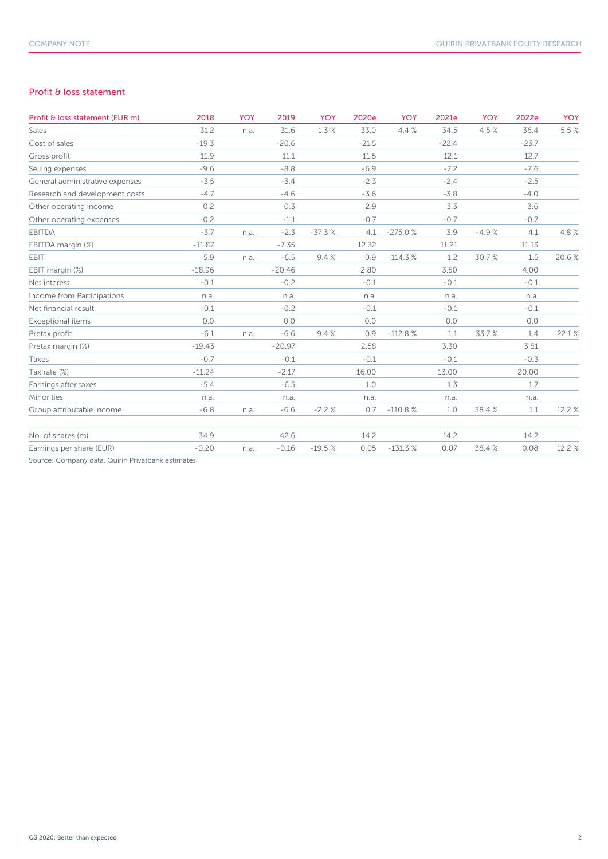# Profit & loss statement

| Profit & loss statement (EUR m) | 2018     | <b>YOY</b> | 2019     | <b>YOY</b> | 2020e   | <b>YOY</b> | 2021e   | <b>YOY</b> | 2022e   | <b>YOY</b> |
|---------------------------------|----------|------------|----------|------------|---------|------------|---------|------------|---------|------------|
| Sales                           | 31.2     | n.a.       | 31.6     | 1.3%       | 33.0    | 4.4%       | 34.5    | 4.5%       | 36.4    | 5.5 %      |
| Cost of sales                   | $-19.3$  |            | $-20.6$  |            | $-21.5$ |            | $-22.4$ |            | $-23.7$ |            |
| Gross profit                    | 11.9     |            | 11.1     |            | 11.5    |            | 12.1    |            | 12.7    |            |
| Selling expenses                | $-9.6$   |            | $-8.8$   |            | $-6.9$  |            | $-7.2$  |            | $-7.6$  |            |
| General administrative expenses | $-3.5$   |            | $-3.4$   |            | $-2.3$  |            | $-2.4$  |            | $-2.5$  |            |
| Research and development costs  | $-4.7$   |            | $-4.6$   |            | $-3.6$  |            | $-3.8$  |            | $-4.0$  |            |
| Other operating income          | 0.2      |            | 0.3      |            | 2.9     |            | 3.3     |            | 3.6     |            |
| Other operating expenses        | $-0.2$   |            | $-1.1$   |            | $-0.7$  |            | $-0.7$  |            | $-0.7$  |            |
| <b>EBITDA</b>                   | $-3.7$   | n.a.       | $-2.3$   | $-37.3%$   | 4.1     | $-275.0%$  | 3.9     | $-4.9%$    | 4.1     | 4.8%       |
| EBITDA margin (%)               | $-11.87$ |            | $-7.35$  |            | 12.32   |            | 11.21   |            | 11.13   |            |
| EBIT                            | $-5.9$   | n.a.       | $-6.5$   | 9.4%       | 0.9     | $-114.3%$  | 1.2     | 30.7%      | 1.5     | 20.6%      |
| EBIT margin (%)                 | $-18.96$ |            | $-20.46$ |            | 2.80    |            | 3.50    |            | 4.00    |            |
| Net interest                    | $-0.1$   |            | $-0.2$   |            | $-0.1$  |            | $-0.1$  |            | $-0.1$  |            |
| Income from Participations      | n.a.     |            | n.a.     |            | n.a.    |            | n.a.    |            | n.a.    |            |
| Net financial result            | $-0.1$   |            | $-0.2$   |            | $-0.1$  |            | $-0.1$  |            | $-0.1$  |            |
| Exceptional items               | 0.0      |            | 0.0      |            | 0.0     |            | 0.0     |            | 0.0     |            |
| Pretax profit                   | $-6.1$   | n.a.       | $-6.6$   | 9.4%       | 0.9     | $-112.8%$  | 1.1     | 33.7%      | 1.4     | 22.1%      |
| Pretax margin (%)               | $-19.43$ |            | $-20.97$ |            | 2.58    |            | 3.30    |            | 3.81    |            |
| Taxes                           | $-0.7$   |            | $-0.1$   |            | $-0.1$  |            | $-0.1$  |            | $-0.3$  |            |
| Tax rate (%)                    | $-11.24$ |            | $-2.17$  |            | 16.00   |            | 13.00   |            | 20.00   |            |
| Earnings after taxes            | $-5.4$   |            | $-6.5$   |            | 1.0     |            | 1.3     |            | 1.7     |            |
| Minorities                      | n.a.     |            | n.a.     |            | n.a.    |            | n.a.    |            | n.a.    |            |
| Group attributable income       | $-6.8$   | n.a.       | $-6.6$   | $-2.2%$    | 0.7     | $-110.8%$  | 1.0     | 38.4%      | 1.1     | 12.2 %     |
| No. of shares (m)               | 34.9     |            | 42.6     |            | 14.2    |            | 14.2    |            | 14.2    |            |
| Earnings per share (EUR)        | $-0.20$  | n.a.       | $-0.16$  | $-19.5%$   | 0.05    | $-131.3%$  | 0.07    | 38.4%      | 0.08    | 12.2 %     |
|                                 |          |            |          |            |         |            |         |            |         |            |

Source: Company data, Quirin Privatbank estimates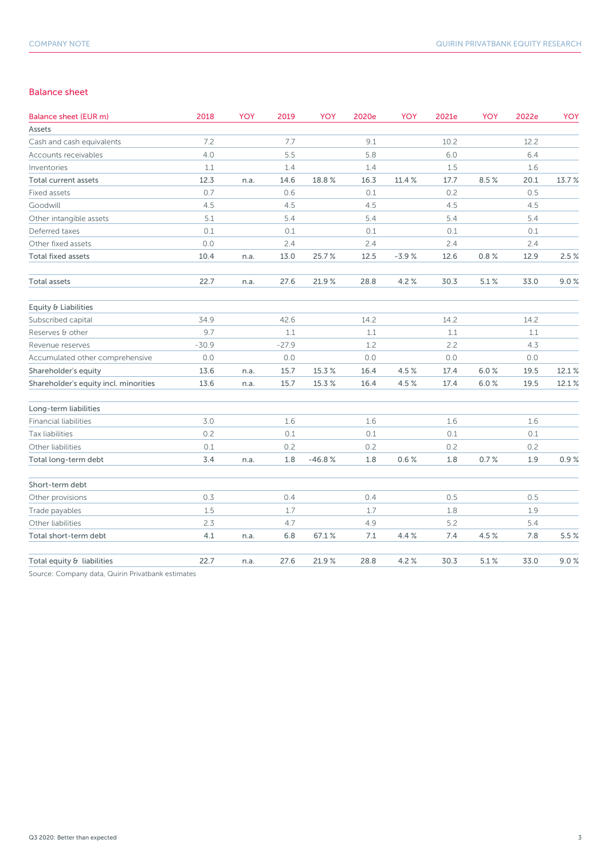# Balance sheet

| Balance sheet (EUR m)                 | 2018    | <b>YOY</b> | 2019    | <b>YOY</b> | 2020e | <b>YOY</b> | 2021e | YOY  | 2022e | YOY   |
|---------------------------------------|---------|------------|---------|------------|-------|------------|-------|------|-------|-------|
| Assets                                |         |            |         |            |       |            |       |      |       |       |
| Cash and cash equivalents             | 7.2     |            | 7.7     |            | 9.1   |            | 10.2  |      | 12.2  |       |
| Accounts receivables                  | 4.0     |            | 5.5     |            | 5.8   |            | 6.0   |      | 6.4   |       |
| Inventories                           | 1.1     |            | 1.4     |            | 1.4   |            | 1.5   |      | 1.6   |       |
| Total current assets                  | 12.3    | n.a.       | 14.6    | 18.8%      | 16.3  | 11.4 %     | 17.7  | 8.5% | 20.1  | 13.7% |
| Fixed assets                          | 0.7     |            | 0.6     |            | 0.1   |            | 0.2   |      | 0.5   |       |
| Goodwill                              | 4.5     |            | 4.5     |            | 4.5   |            | 4.5   |      | 4.5   |       |
| Other intangible assets               | 5.1     |            | 5.4     |            | 5.4   |            | 5.4   |      | 5.4   |       |
| Deferred taxes                        | 0.1     |            | 0.1     |            | 0.1   |            | 0.1   |      | 0.1   |       |
| Other fixed assets                    | 0.0     |            | 2.4     |            | 2.4   |            | 2.4   |      | 2.4   |       |
| <b>Total fixed assets</b>             | 10.4    | n.a.       | 13.0    | 25.7%      | 12.5  | $-3.9%$    | 12.6  | 0.8% | 12.9  | 2.5%  |
| <b>Total assets</b>                   | 22.7    | n.a.       | 27.6    | 21.9%      | 28.8  | 4.2%       | 30.3  | 5.1% | 33.0  | 9.0%  |
| Equity & Liabilities                  |         |            |         |            |       |            |       |      |       |       |
| Subscribed capital                    | 34.9    |            | 42.6    |            | 14.2  |            | 14.2  |      | 14.2  |       |
| Reserves & other                      | 9.7     |            | 1.1     |            | 1.1   |            | 1.1   |      | 1.1   |       |
| Revenue reserves                      | $-30.9$ |            | $-27.9$ |            | 1.2   |            | 2.2   |      | 4.3   |       |
| Accumulated other comprehensive       | 0.0     |            | 0.0     |            | 0.0   |            | 0.0   |      | 0.0   |       |
| Shareholder's equity                  | 13.6    | n.a.       | 15.7    | 15.3%      | 16.4  | 4.5%       | 17.4  | 6.0% | 19.5  | 12.1% |
| Shareholder's equity incl. minorities | 13.6    | n.a.       | 15.7    | 15.3%      | 16.4  | 4.5%       | 17.4  | 6.0% | 19.5  | 12.1% |
| Long-term liabilities                 |         |            |         |            |       |            |       |      |       |       |
| <b>Financial liabilities</b>          | 3.0     |            | 1.6     |            | 1.6   |            | 1.6   |      | 1.6   |       |
| Tax liabilities                       | 0.2     |            | 0.1     |            | 0.1   |            | 0.1   |      | 0.1   |       |
| Other liabilities                     | 0.1     |            | 0.2     |            | 0.2   |            | 0.2   |      | 0.2   |       |
| Total long-term debt                  | 3.4     | n.a.       | 1.8     | $-46.8%$   | 1.8   | 0.6%       | 1.8   | 0.7% | 1.9   | 0.9%  |
| Short-term debt                       |         |            |         |            |       |            |       |      |       |       |
| Other provisions                      | 0.3     |            | 0.4     |            | 0.4   |            | 0.5   |      | 0.5   |       |
| Trade payables                        | 1.5     |            | 1.7     |            | 1.7   |            | 1.8   |      | 1.9   |       |
| Other liabilities                     | 2.3     |            | 4.7     |            | 4.9   |            | 5.2   |      | 5.4   |       |
| Total short-term debt                 | 4.1     | n.a.       | 6.8     | 67.1%      | 7.1   | 4.4 %      | 7.4   | 4.5% | 7.8   | 5.5%  |
| Total equity & liabilities            | 22.7    | n.a.       | 27.6    | 21.9%      | 28.8  | 4.2%       | 30.3  | 5.1% | 33.0  | 9.0%  |
|                                       |         |            |         |            |       |            |       |      |       |       |

Source: Company data, Quirin Privatbank estimates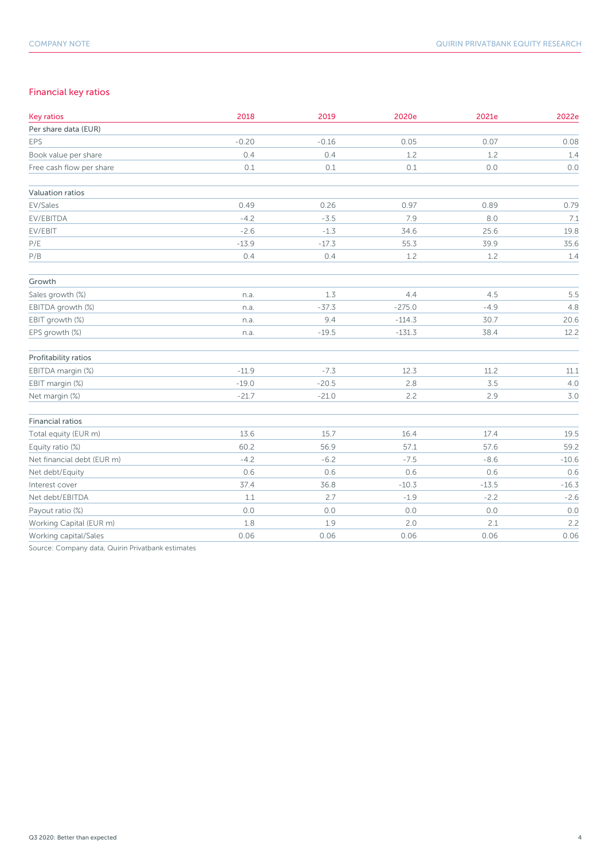# Financial key ratios

| <b>Key ratios</b>          | 2018    | 2019    | 2020e    | 2021e   | 2022e   |
|----------------------------|---------|---------|----------|---------|---------|
| Per share data (EUR)       |         |         |          |         |         |
| EPS                        | $-0.20$ | $-0.16$ | 0.05     | 0.07    | 0.08    |
| Book value per share       | 0.4     | 0.4     | 1.2      | 1.2     | 1.4     |
| Free cash flow per share   | 0.1     | 0.1     | 0.1      | 0.0     | $0.0$   |
| Valuation ratios           |         |         |          |         |         |
| EV/Sales                   | 0.49    | 0.26    | 0.97     | 0.89    | 0.79    |
| EV/EBITDA                  | $-4.2$  | $-3.5$  | 7.9      | 8.0     | 7.1     |
| EV/EBIT                    | $-2.6$  | $-1.3$  | 34.6     | 25.6    | 19.8    |
| P/E                        | $-13.9$ | $-17.3$ | 55.3     | 39.9    | 35.6    |
| P/B                        | 0.4     | 0.4     | 1.2      | 1.2     | 1.4     |
| Growth                     |         |         |          |         |         |
| Sales growth (%)           | n.a.    | 1.3     | 4.4      | 4.5     | 5.5     |
| EBITDA growth (%)          | n.a.    | $-37.3$ | $-275.0$ | $-4.9$  | 4.8     |
| EBIT growth (%)            | n.a.    | 9.4     | $-114.3$ | 30.7    | 20.6    |
| EPS growth (%)             | n.a.    | $-19.5$ | $-131.3$ | 38.4    | 12.2    |
| Profitability ratios       |         |         |          |         |         |
| EBITDA margin (%)          | $-11.9$ | $-7.3$  | 12.3     | 11.2    | 11.1    |
| EBIT margin (%)            | $-19.0$ | $-20.5$ | 2.8      | 3.5     | 4.0     |
| Net margin (%)             | $-21.7$ | $-21.0$ | 2.2      | 2.9     | 3.0     |
| <b>Financial ratios</b>    |         |         |          |         |         |
| Total equity (EUR m)       | 13.6    | 15.7    | 16.4     | 17.4    | 19.5    |
| Equity ratio (%)           | 60.2    | 56.9    | 57.1     | 57.6    | 59.2    |
| Net financial debt (EUR m) | $-4.2$  | $-6.2$  | $-7.5$   | $-8.6$  | $-10.6$ |
| Net debt/Equity            | 0.6     | 0.6     | 0.6      | 0.6     | 0.6     |
| Interest cover             | 37.4    | 36.8    | $-10.3$  | $-13.5$ | $-16.3$ |
| Net debt/EBITDA            | 1.1     | 2.7     | $-1.9$   | $-2.2$  | $-2.6$  |
| Payout ratio (%)           | 0.0     | 0.0     | 0.0      | $0.0\,$ | 0.0     |
| Working Capital (EUR m)    | 1.8     | 1.9     | 2.0      | 2.1     | 2.2     |
| Working capital/Sales      | 0.06    | 0.06    | 0.06     | 0.06    | 0.06    |

Source: Company data, Quirin Privatbank estimates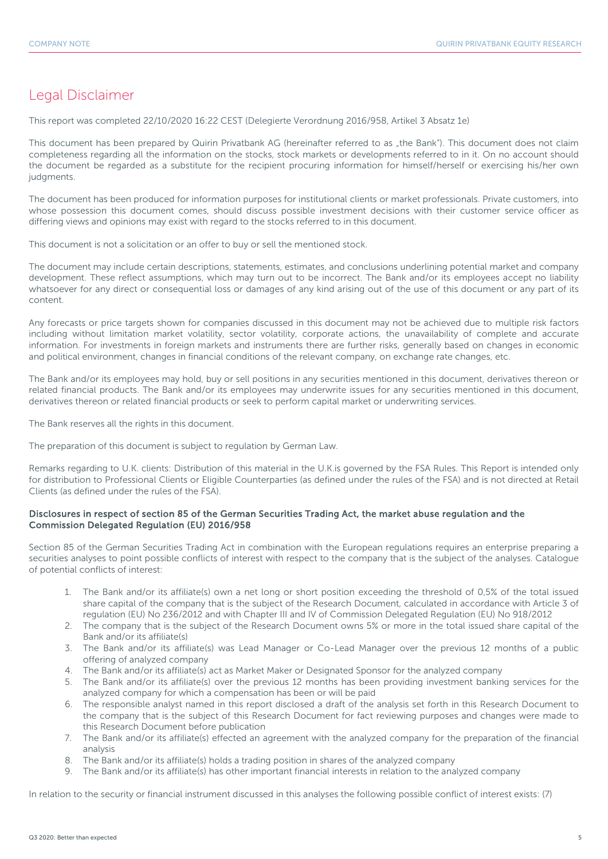# Legal Disclaimer

This report was completed 22/10/2020 16:22 CEST (Delegierte Verordnung 2016/958, Artikel 3 Absatz 1e)

This document has been prepared by Quirin Privatbank AG (hereinafter referred to as "the Bank"). This document does not claim completeness regarding all the information on the stocks, stock markets or developments referred to in it. On no account should the document be regarded as a substitute for the recipient procuring information for himself/herself or exercising his/her own judgments.

The document has been produced for information purposes for institutional clients or market professionals. Private customers, into whose possession this document comes, should discuss possible investment decisions with their customer service officer as differing views and opinions may exist with regard to the stocks referred to in this document.

This document is not a solicitation or an offer to buy or sell the mentioned stock.

The document may include certain descriptions, statements, estimates, and conclusions underlining potential market and company development. These reflect assumptions, which may turn out to be incorrect. The Bank and/or its employees accept no liability whatsoever for any direct or consequential loss or damages of any kind arising out of the use of this document or any part of its content.

Any forecasts or price targets shown for companies discussed in this document may not be achieved due to multiple risk factors including without limitation market volatility, sector volatility, corporate actions, the unavailability of complete and accurate information. For investments in foreign markets and instruments there are further risks, generally based on changes in economic and political environment, changes in financial conditions of the relevant company, on exchange rate changes, etc.

The Bank and/or its employees may hold, buy or sell positions in any securities mentioned in this document, derivatives thereon or related financial products. The Bank and/or its employees may underwrite issues for any securities mentioned in this document, derivatives thereon or related financial products or seek to perform capital market or underwriting services.

The Bank reserves all the rights in this document.

The preparation of this document is subject to regulation by German Law.

Remarks regarding to U.K. clients: Distribution of this material in the U.K.is governed by the FSA Rules. This Report is intended only for distribution to Professional Clients or Eligible Counterparties (as defined under the rules of the FSA) and is not directed at Retail Clients (as defined under the rules of the FSA).

# Disclosures in respect of section 85 of the German Securities Trading Act, the market abuse regulation and the Commission Delegated Regulation (EU) 2016/958

Section 85 of the German Securities Trading Act in combination with the European regulations requires an enterprise preparing a securities analyses to point possible conflicts of interest with respect to the company that is the subject of the analyses. Catalogue of potential conflicts of interest:

- 1. The Bank and/or its affiliate(s) own a net long or short position exceeding the threshold of 0,5% of the total issued share capital of the company that is the subject of the Research Document, calculated in accordance with Article 3 of regulation (EU) No 236/2012 and with Chapter III and IV of Commission Delegated Regulation (EU) No 918/2012
- 2. The company that is the subject of the Research Document owns 5% or more in the total issued share capital of the Bank and/or its affiliate(s)
- 3. The Bank and/or its affiliate(s) was Lead Manager or Co-Lead Manager over the previous 12 months of a public offering of analyzed company
- 4. The Bank and/or its affiliate(s) act as Market Maker or Designated Sponsor for the analyzed company
- 5. The Bank and/or its affiliate(s) over the previous 12 months has been providing investment banking services for the analyzed company for which a compensation has been or will be paid
- 6. The responsible analyst named in this report disclosed a draft of the analysis set forth in this Research Document to the company that is the subject of this Research Document for fact reviewing purposes and changes were made to this Research Document before publication
- 7. The Bank and/or its affiliate(s) effected an agreement with the analyzed company for the preparation of the financial analysis
- 8. The Bank and/or its affiliate(s) holds a trading position in shares of the analyzed company
- 9. The Bank and/or its affiliate(s) has other important financial interests in relation to the analyzed company

In relation to the security or financial instrument discussed in this analyses the following possible conflict of interest exists: (7)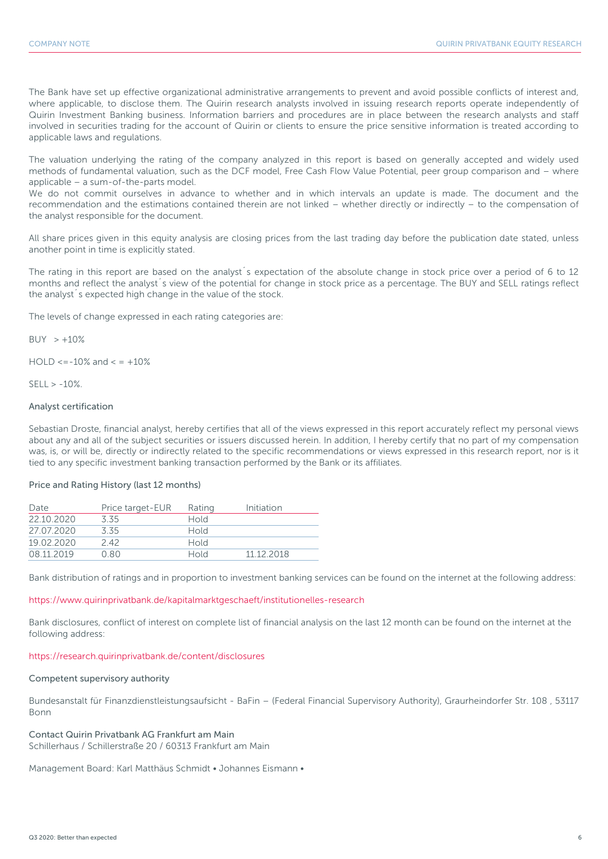The Bank have set up effective organizational administrative arrangements to prevent and avoid possible conflicts of interest and, where applicable, to disclose them. The Quirin research analysts involved in issuing research reports operate independently of Quirin Investment Banking business. Information barriers and procedures are in place between the research analysts and staff involved in securities trading for the account of Quirin or clients to ensure the price sensitive information is treated according to applicable laws and regulations.

The valuation underlying the rating of the company analyzed in this report is based on generally accepted and widely used methods of fundamental valuation, such as the DCF model, Free Cash Flow Value Potential, peer group comparison and – where applicable – a sum-of-the-parts model.

We do not commit ourselves in advance to whether and in which intervals an update is made. The document and the recommendation and the estimations contained therein are not linked – whether directly or indirectly – to the compensation of the analyst responsible for the document.

All share prices given in this equity analysis are closing prices from the last trading day before the publication date stated, unless another point in time is explicitly stated.

The rating in this report are based on the analyst´s expectation of the absolute change in stock price over a period of 6 to 12 months and reflect the analyst´s view of the potential for change in stock price as a percentage. The BUY and SELL ratings reflect the analyst´s expected high change in the value of the stock.

The levels of change expressed in each rating categories are:

 $BUY > +10%$ 

 $HOLD \le -10\%$  and  $\le +10\%$ 

 $SFII > -10%$ 

# Analyst certification

Sebastian Droste, financial analyst, hereby certifies that all of the views expressed in this report accurately reflect my personal views about any and all of the subject securities or issuers discussed herein. In addition, I hereby certify that no part of my compensation was, is, or will be, directly or indirectly related to the specific recommendations or views expressed in this research report, nor is it tied to any specific investment banking transaction performed by the Bank or its affiliates.

# Price and Rating History (last 12 months)

| Date       | Price target-EUR | Rating      | Initiation |
|------------|------------------|-------------|------------|
| 22 10 2020 | 3.35             | <b>Hold</b> |            |
| 27 07 2020 | 335              | <b>Hold</b> |            |
| 19.02.2020 | 242              | <b>Hold</b> |            |
| 08.11.2019 | 0.80             | <b>Hold</b> | 11 12 2018 |

Bank distribution of ratings and in proportion to investment banking services can be found on the internet at the following address:

### https://www.quirinprivatbank.de/kapitalmarktgeschaeft/institutionelles-research

Bank disclosures, conflict of interest on complete list of financial analysis on the last 12 month can be found on the internet at the following address:

#### https://research.quirinprivatbank.de/content/disclosures

#### Competent supervisory authority

Bundesanstalt für Finanzdienstleistungsaufsicht - BaFin – (Federal Financial Supervisory Authority), Graurheindorfer Str. 108 , 53117 Bonn

Contact Quirin Privatbank AG Frankfurt am Main Schillerhaus / Schillerstraße 20 / 60313 Frankfurt am Main

Management Board: Karl Matthäus Schmidt • Johannes Eismann •